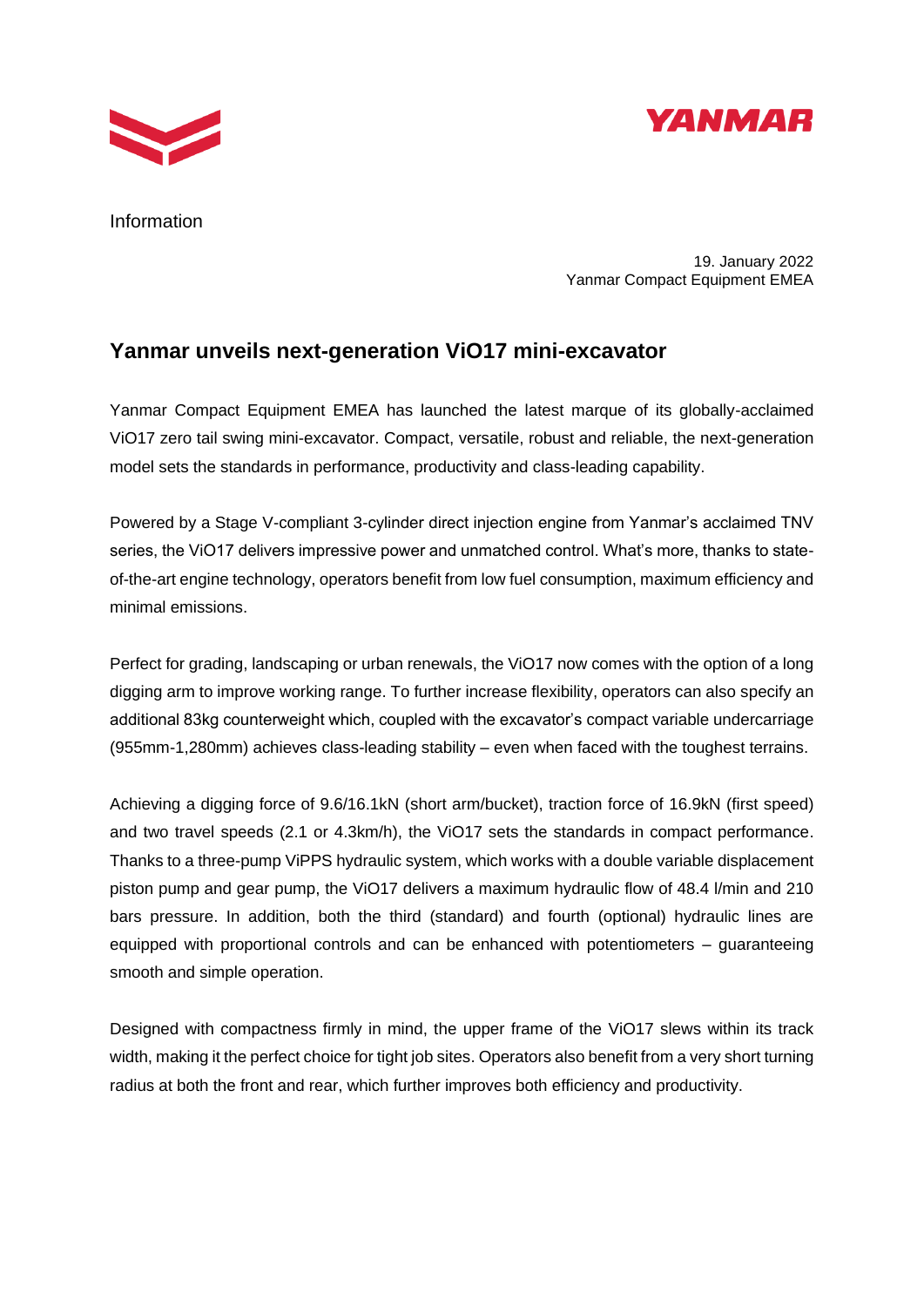



Information

19. January 2022 Yanmar Compact Equipment EMEA

## **Yanmar unveils next-generation ViO17 mini-excavator**

Yanmar Compact Equipment EMEA has launched the latest marque of its globally-acclaimed ViO17 zero tail swing mini-excavator. Compact, versatile, robust and reliable, the next-generation model sets the standards in performance, productivity and class-leading capability.

Powered by a Stage V-compliant 3-cylinder direct injection engine from Yanmar's acclaimed TNV series, the ViO17 delivers impressive power and unmatched control. What's more, thanks to stateof-the-art engine technology, operators benefit from low fuel consumption, maximum efficiency and minimal emissions.

Perfect for grading, landscaping or urban renewals, the ViO17 now comes with the option of a long digging arm to improve working range. To further increase flexibility, operators can also specify an additional 83kg counterweight which, coupled with the excavator's compact variable undercarriage (955mm-1,280mm) achieves class-leading stability – even when faced with the toughest terrains.

Achieving a digging force of 9.6/16.1kN (short arm/bucket), traction force of 16.9kN (first speed) and two travel speeds (2.1 or 4.3km/h), the ViO17 sets the standards in compact performance. Thanks to a three-pump ViPPS hydraulic system, which works with a double variable displacement piston pump and gear pump, the ViO17 delivers a maximum hydraulic flow of 48.4 l/min and 210 bars pressure. In addition, both the third (standard) and fourth (optional) hydraulic lines are equipped with proportional controls and can be enhanced with potentiometers – guaranteeing smooth and simple operation.

Designed with compactness firmly in mind, the upper frame of the ViO17 slews within its track width, making it the perfect choice for tight job sites. Operators also benefit from a very short turning radius at both the front and rear, which further improves both efficiency and productivity.